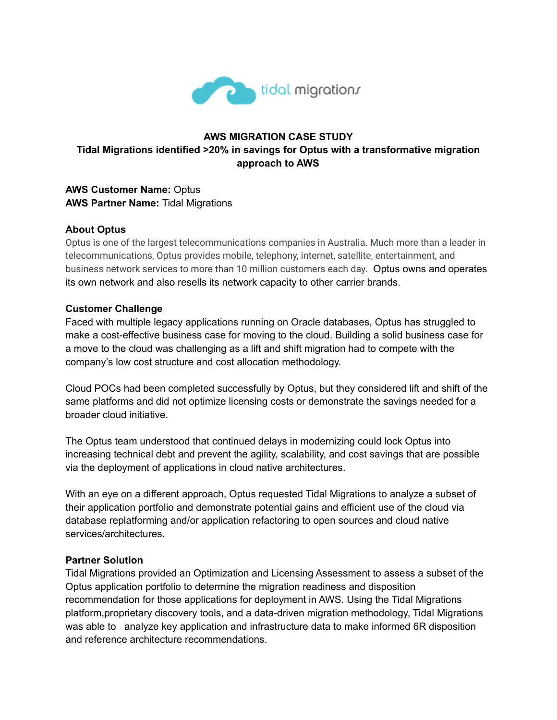

# **AWS MIGRATION CASE STUDY Tidal Migrations identified >20% in savings for Optus with a transformative migration approach to AWS**

## **AWS Customer Name:** Optus **AWS Partner Name:** Tidal Migrations

## **About Optus**

Optus is one of the largest telecommunications companies in Australia. Much more than a leader in telecommunications, Optus provides mobile, telephony, internet, satellite, entertainment, and business network services to more than 10 million customers each day. Optus owns and operates its own network and also resells its network capacity to other carrier brands.

#### **Customer Challenge**

Faced with multiple legacy applications running on Oracle databases, Optus has struggled to make a cost-effective business case for moving to the cloud. Building a solid business case for a move to the cloud was challenging as a lift and shift migration had to compete with the company's low cost structure and cost allocation methodology.

Cloud POCs had been completed successfully by Optus, but they considered lift and shift of the same platforms and did not optimize licensing costs or demonstrate the savings needed for a broader cloud initiative.

The Optus team understood that continued delays in modernizing could lock Optus into increasing technical debt and prevent the agility, scalability, and cost savings that are possible via the deployment of applications in cloud native architectures.

With an eye on a different approach, Optus requested Tidal Migrations to analyze a subset of their application portfolio and demonstrate potential gains and efficient use of the cloud via database replatforming and/or application refactoring to open sources and cloud native services/architectures.

## **Partner Solution**

Tidal Migrations provided an Optimization and Licensing Assessment to assess a subset of the Optus application portfolio to determine the migration readiness and disposition recommendation for those applications for deployment in AWS. Using the Tidal Migrations platform,proprietary discovery tools, and a data-driven migration methodology, Tidal Migrations was able to analyze key application and infrastructure data to make informed 6R disposition and reference architecture recommendations.